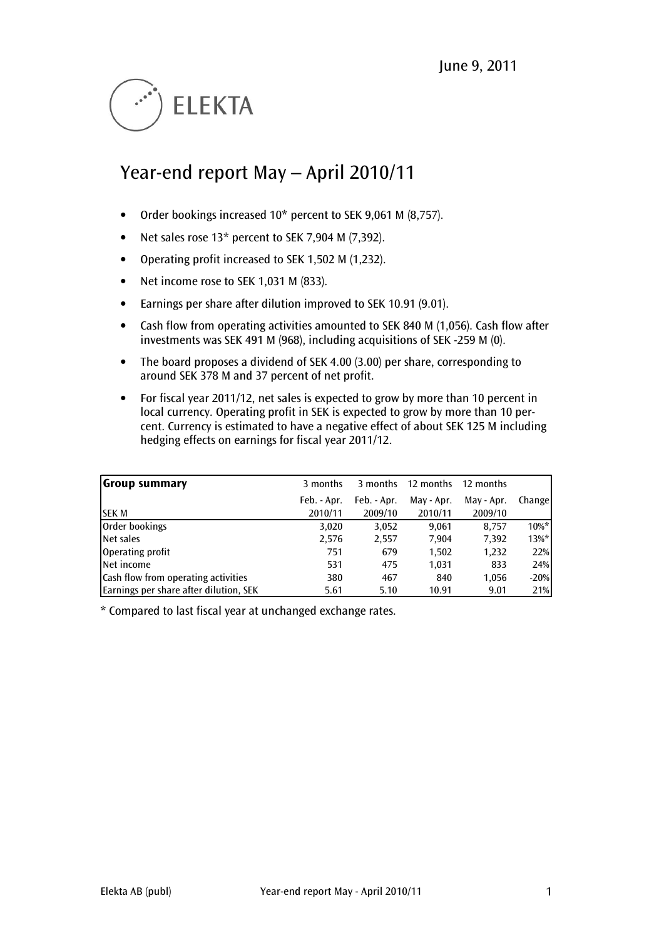

# Year-end report May – April 2010/11

- Order bookings increased 10\* percent to SEK 9,061 M (8,757).
- Net sales rose 13\* percent to SEK 7,904 M (7,392).
- Operating profit increased to SEK 1,502 M (1,232).
- Net income rose to SEK 1,031 M (833).
- Earnings per share after dilution improved to SEK 10.91 (9.01).
- Cash flow from operating activities amounted to SEK 840 M (1,056). Cash flow after investments was SEK 491 M (968), including acquisitions of SEK -259 M (0).
- The board proposes a dividend of SEK 4.00 (3.00) per share, corresponding to around SEK 378 M and 37 percent of net profit.
- For fiscal year 2011/12, net sales is expected to grow by more than 10 percent in local currency. Operating profit in SEK is expected to grow by more than 10 percent. Currency is estimated to have a negative effect of about SEK 125 M including hedging effects on earnings for fiscal year 2011/12.

| <b>Group summary</b>                       | 3 months    | 3 months    | 12 months  | 12 months  |          |
|--------------------------------------------|-------------|-------------|------------|------------|----------|
|                                            | Feb. - Apr. | Feb. - Apr. | May - Apr. | May - Apr. | Change   |
| <b>SEK M</b>                               | 2010/11     | 2009/10     | 2010/11    | 2009/10    |          |
| Order bookings                             | 3,020       | 3,052       | 9.061      | 8.757      | $10\%$ * |
| Net sales                                  | 2,576       | 2,557       | 7,904      | 7,392      | $13\%$ * |
| Operating profit                           | 751         | 679         | 1,502      | 1,232      | 22%      |
| Net income                                 | 531         | 475         | 1,031      | 833        | 24%      |
| <b>Cash flow from operating activities</b> | 380         | 467         | 840        | 1,056      | $-20%$   |
| Earnings per share after dilution, SEK     | 5.61        | 5.10        | 10.91      | 9.01       | 21%      |

\* Compared to last fiscal year at unchanged exchange rates.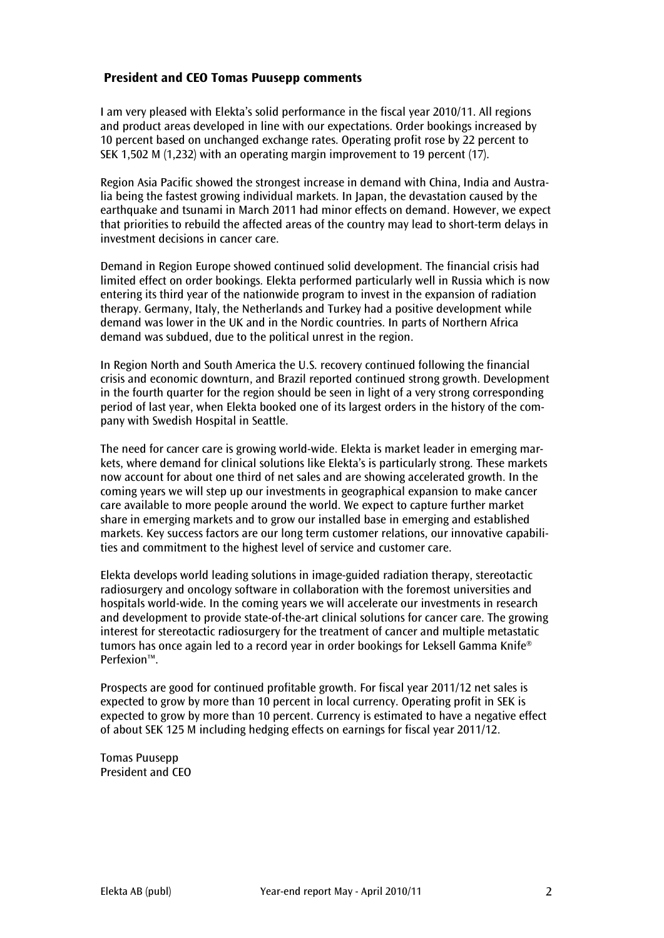# President and CEO Tomas Puusepp comments

I am very pleased with Elekta's solid performance in the fiscal year 2010/11. All regions and product areas developed in line with our expectations. Order bookings increased by 10 percent based on unchanged exchange rates. Operating profit rose by 22 percent to SEK 1,502 M (1,232) with an operating margin improvement to 19 percent (17).

Region Asia Pacific showed the strongest increase in demand with China, India and Australia being the fastest growing individual markets. In Japan, the devastation caused by the earthquake and tsunami in March 2011 had minor effects on demand. However, we expect that priorities to rebuild the affected areas of the country may lead to short-term delays in investment decisions in cancer care.

Demand in Region Europe showed continued solid development. The financial crisis had limited effect on order bookings. Elekta performed particularly well in Russia which is now entering its third year of the nationwide program to invest in the expansion of radiation therapy. Germany, Italy, the Netherlands and Turkey had a positive development while demand was lower in the UK and in the Nordic countries. In parts of Northern Africa demand was subdued, due to the political unrest in the region.

In Region North and South America the U.S. recovery continued following the financial crisis and economic downturn, and Brazil reported continued strong growth. Development in the fourth quarter for the region should be seen in light of a very strong corresponding period of last year, when Elekta booked one of its largest orders in the history of the company with Swedish Hospital in Seattle.

The need for cancer care is growing world-wide. Elekta is market leader in emerging markets, where demand for clinical solutions like Elekta's is particularly strong. These markets now account for about one third of net sales and are showing accelerated growth. In the coming years we will step up our investments in geographical expansion to make cancer care available to more people around the world. We expect to capture further market share in emerging markets and to grow our installed base in emerging and established markets. Key success factors are our long term customer relations, our innovative capabilities and commitment to the highest level of service and customer care.

Elekta develops world leading solutions in image-guided radiation therapy, stereotactic radiosurgery and oncology software in collaboration with the foremost universities and hospitals world-wide. In the coming years we will accelerate our investments in research and development to provide state-of-the-art clinical solutions for cancer care. The growing interest for stereotactic radiosurgery for the treatment of cancer and multiple metastatic tumors has once again led to a record year in order bookings for Leksell Gamma Knife® Perfexion™.

Prospects are good for continued profitable growth. For fiscal year 2011/12 net sales is expected to grow by more than 10 percent in local currency. Operating profit in SEK is expected to grow by more than 10 percent. Currency is estimated to have a negative effect of about SEK 125 M including hedging effects on earnings for fiscal year 2011/12.

Tomas Puusepp President and CEO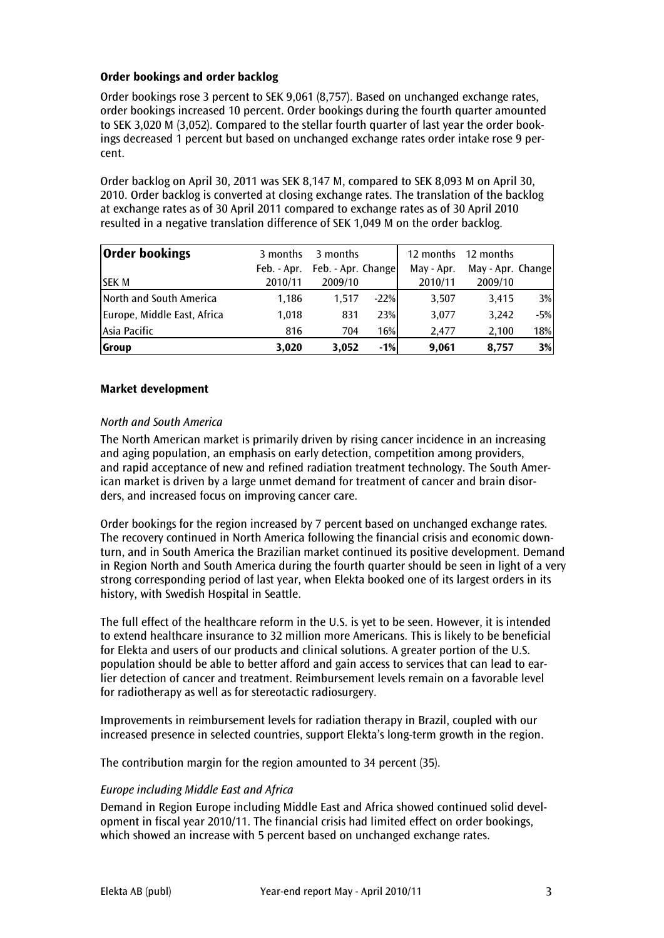# Order bookings and order backlog

Order bookings rose 3 percent to SEK 9,061 (8,757). Based on unchanged exchange rates, order bookings increased 10 percent. Order bookings during the fourth quarter amounted to SEK 3,020 M (3,052). Compared to the stellar fourth quarter of last year the order bookings decreased 1 percent but based on unchanged exchange rates order intake rose 9 percent.

Order backlog on April 30, 2011 was SEK 8,147 M, compared to SEK 8,093 M on April 30, 2010. Order backlog is converted at closing exchange rates. The translation of the backlog at exchange rates as of 30 April 2011 compared to exchange rates as of 30 April 2010 resulted in a negative translation difference of SEK 1,049 M on the order backlog.

| <b>Order bookings</b>       | 3 months | 3 months                       |        | 12 months  | 12 months         |       |
|-----------------------------|----------|--------------------------------|--------|------------|-------------------|-------|
|                             |          | Feb. - Apr. Feb. - Apr. Change |        | May - Apr. | May - Apr. Change |       |
| <b>SEK M</b>                | 2010/11  | 2009/10                        |        | 2010/11    | 2009/10           |       |
| North and South America     | 1.186    | 1.517                          | $-22%$ | 3,507      | 3,415             | 3%    |
| Europe, Middle East, Africa | 1.018    | 831                            | 23%    | 3,077      | 3.242             | $-5%$ |
| Asia Pacific                | 816      | 704                            | 16%    | 2.477      | 2,100             | 18%   |
| <b>Group</b>                | 3,020    | 3,052                          | $-1%$  | 9,061      | 8,757             | 3%    |

# Market development

# North and South America

The North American market is primarily driven by rising cancer incidence in an increasing and aging population, an emphasis on early detection, competition among providers, and rapid acceptance of new and refined radiation treatment technology. The South American market is driven by a large unmet demand for treatment of cancer and brain disorders, and increased focus on improving cancer care.

Order bookings for the region increased by 7 percent based on unchanged exchange rates. The recovery continued in North America following the financial crisis and economic downturn, and in South America the Brazilian market continued its positive development. Demand in Region North and South America during the fourth quarter should be seen in light of a very strong corresponding period of last year, when Elekta booked one of its largest orders in its history, with Swedish Hospital in Seattle.

The full effect of the healthcare reform in the U.S. is yet to be seen. However, it is intended to extend healthcare insurance to 32 million more Americans. This is likely to be beneficial for Elekta and users of our products and clinical solutions. A greater portion of the U.S. population should be able to better afford and gain access to services that can lead to earlier detection of cancer and treatment. Reimbursement levels remain on a favorable level for radiotherapy as well as for stereotactic radiosurgery.

Improvements in reimbursement levels for radiation therapy in Brazil, coupled with our increased presence in selected countries, support Elekta's long-term growth in the region.

The contribution margin for the region amounted to 34 percent (35).

# Europe including Middle East and Africa

Demand in Region Europe including Middle East and Africa showed continued solid development in fiscal year 2010/11. The financial crisis had limited effect on order bookings, which showed an increase with 5 percent based on unchanged exchange rates.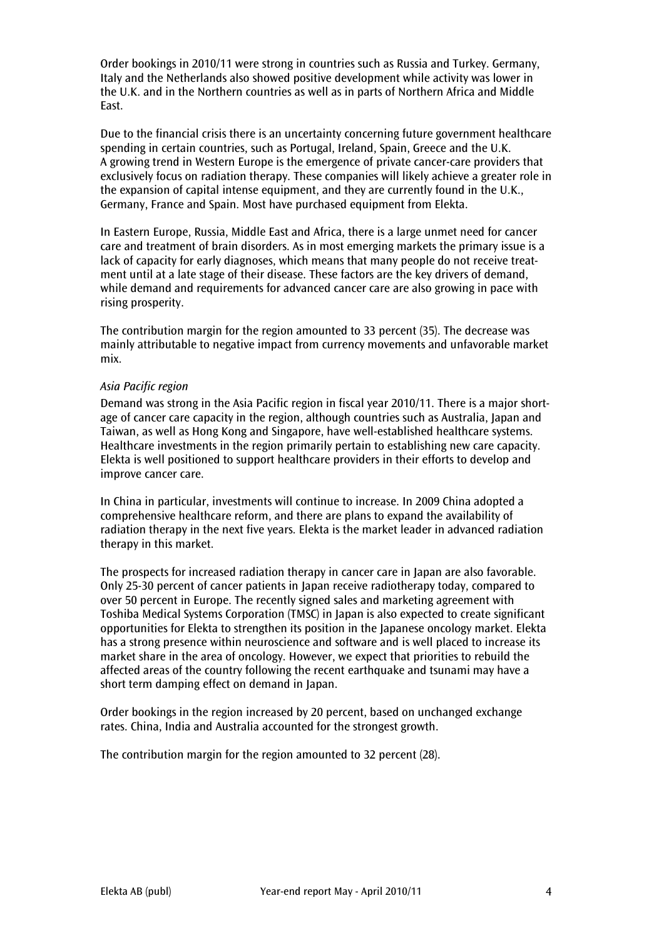Order bookings in 2010/11 were strong in countries such as Russia and Turkey. Germany, Italy and the Netherlands also showed positive development while activity was lower in the U.K. and in the Northern countries as well as in parts of Northern Africa and Middle East.

Due to the financial crisis there is an uncertainty concerning future government healthcare spending in certain countries, such as Portugal, Ireland, Spain, Greece and the U.K. A growing trend in Western Europe is the emergence of private cancer-care providers that exclusively focus on radiation therapy. These companies will likely achieve a greater role in the expansion of capital intense equipment, and they are currently found in the U.K., Germany, France and Spain. Most have purchased equipment from Elekta.

In Eastern Europe, Russia, Middle East and Africa, there is a large unmet need for cancer care and treatment of brain disorders. As in most emerging markets the primary issue is a lack of capacity for early diagnoses, which means that many people do not receive treatment until at a late stage of their disease. These factors are the key drivers of demand, while demand and requirements for advanced cancer care are also growing in pace with rising prosperity.

The contribution margin for the region amounted to 33 percent (35). The decrease was mainly attributable to negative impact from currency movements and unfavorable market mix.

# Asia Pacific region

Demand was strong in the Asia Pacific region in fiscal year 2010/11. There is a major shortage of cancer care capacity in the region, although countries such as Australia, Japan and Taiwan, as well as Hong Kong and Singapore, have well-established healthcare systems. Healthcare investments in the region primarily pertain to establishing new care capacity. Elekta is well positioned to support healthcare providers in their efforts to develop and improve cancer care.

In China in particular, investments will continue to increase. In 2009 China adopted a comprehensive healthcare reform, and there are plans to expand the availability of radiation therapy in the next five years. Elekta is the market leader in advanced radiation therapy in this market.

The prospects for increased radiation therapy in cancer care in Japan are also favorable. Only 25-30 percent of cancer patients in Japan receive radiotherapy today, compared to over 50 percent in Europe. The recently signed sales and marketing agreement with Toshiba Medical Systems Corporation (TMSC) in Japan is also expected to create significant opportunities for Elekta to strengthen its position in the Japanese oncology market. Elekta has a strong presence within neuroscience and software and is well placed to increase its market share in the area of oncology. However, we expect that priorities to rebuild the affected areas of the country following the recent earthquake and tsunami may have a short term damping effect on demand in Japan.

Order bookings in the region increased by 20 percent, based on unchanged exchange rates. China, India and Australia accounted for the strongest growth.

The contribution margin for the region amounted to 32 percent (28).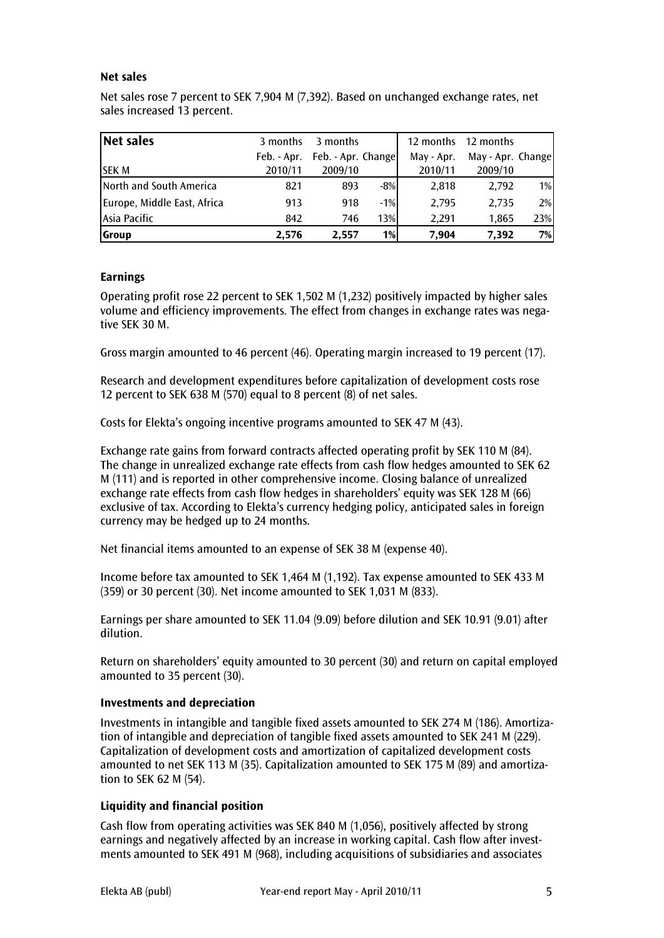# Net sales

Net sales rose 7 percent to SEK 7,904 M (7,392). Based on unchanged exchange rates, net sales increased 13 percent.

| Net sales                   | 3 months    | 3 months           |        | 12 months  | 12 months         |       |
|-----------------------------|-------------|--------------------|--------|------------|-------------------|-------|
|                             | Feb. - Apr. | Feb. - Apr. Change |        | May - Apr. | May - Apr. Change |       |
| <b>SEK M</b>                | 2010/11     | 2009/10            |        | 2010/11    | 2009/10           |       |
| North and South America     | 821         | 893                | $-8%$  | 2,818      | 2,792             | $1\%$ |
| Europe, Middle East, Africa | 913         | 918                | $-1\%$ | 2.795      | 2.735             | 2%    |
| Asia Pacific                | 842         | 746                | 13%    | 2.291      | 1,865             | 23%   |
| <b>Group</b>                | 2,576       | 2,557              | $1\%$  | 7,904      | 7.392             | 7%    |

# Earnings

Operating profit rose 22 percent to SEK 1,502 M (1,232) positively impacted by higher sales volume and efficiency improvements. The effect from changes in exchange rates was negative SEK 30 M.

Gross margin amounted to 46 percent (46). Operating margin increased to 19 percent (17).

Research and development expenditures before capitalization of development costs rose 12 percent to SEK 638 M (570) equal to 8 percent (8) of net sales.

Costs for Elekta's ongoing incentive programs amounted to SEK 47 M (43).

Exchange rate gains from forward contracts affected operating profit by SEK 110 M (84). The change in unrealized exchange rate effects from cash flow hedges amounted to SEK 62 M (111) and is reported in other comprehensive income. Closing balance of unrealized exchange rate effects from cash flow hedges in shareholders' equity was SEK 128 M (66) exclusive of tax. According to Elekta's currency hedging policy, anticipated sales in foreign currency may be hedged up to 24 months.

Net financial items amounted to an expense of SEK 38 M (expense 40).

Income before tax amounted to SEK 1,464 M (1,192). Tax expense amounted to SEK 433 M (359) or 30 percent (30). Net income amounted to SEK 1,031 M (833).

Earnings per share amounted to SEK 11.04 (9.09) before dilution and SEK 10.91 (9.01) after dilution.

Return on shareholders' equity amounted to 30 percent (30) and return on capital employed amounted to 35 percent (30).

# Investments and depreciation

Investments in intangible and tangible fixed assets amounted to SEK 274 M (186). Amortization of intangible and depreciation of tangible fixed assets amounted to SEK 241 M (229). Capitalization of development costs and amortization of capitalized development costs amounted to net SEK 113 M (35). Capitalization amounted to SEK 175 M (89) and amortization to SEK 62 M (54).

# Liquidity and financial position

Cash flow from operating activities was SEK 840 M (1,056), positively affected by strong earnings and negatively affected by an increase in working capital. Cash flow after investments amounted to SEK 491 M (968), including acquisitions of subsidiaries and associates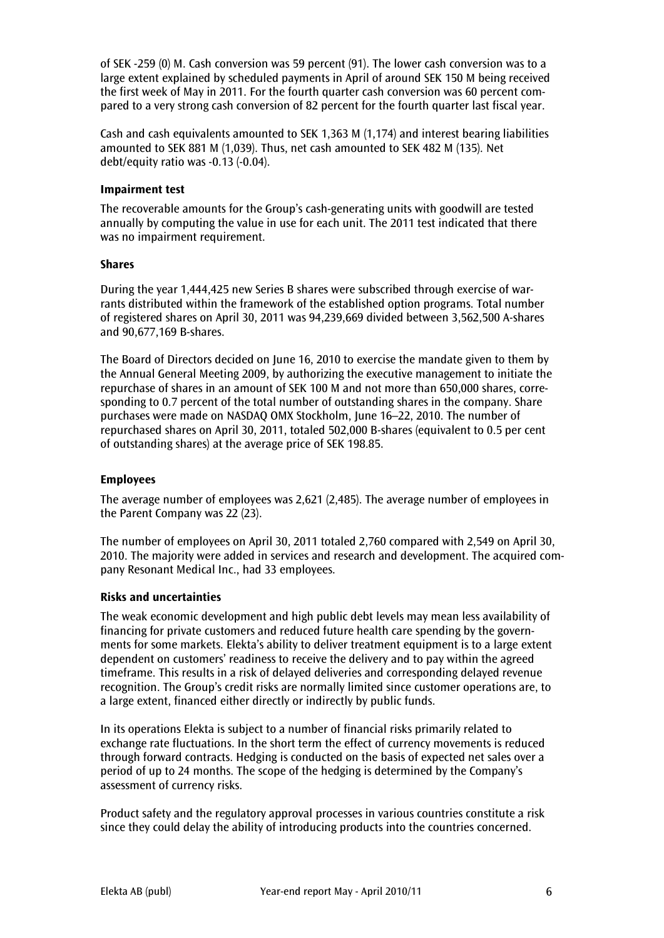of SEK -259 (0) M. Cash conversion was 59 percent (91). The lower cash conversion was to a large extent explained by scheduled payments in April of around SEK 150 M being received the first week of May in 2011. For the fourth quarter cash conversion was 60 percent compared to a very strong cash conversion of 82 percent for the fourth quarter last fiscal year.

Cash and cash equivalents amounted to SEK 1,363 M (1,174) and interest bearing liabilities amounted to SEK 881 M (1,039). Thus, net cash amounted to SEK 482 M (135). Net debt/equity ratio was -0.13 (-0.04).

# Impairment test

The recoverable amounts for the Group's cash-generating units with goodwill are tested annually by computing the value in use for each unit. The 2011 test indicated that there was no impairment requirement.

# Shares

During the year 1,444,425 new Series B shares were subscribed through exercise of warrants distributed within the framework of the established option programs. Total number of registered shares on April 30, 2011 was 94,239,669 divided between 3,562,500 A-shares and 90,677,169 B-shares.

The Board of Directors decided on June 16, 2010 to exercise the mandate given to them by the Annual General Meeting 2009, by authorizing the executive management to initiate the repurchase of shares in an amount of SEK 100 M and not more than 650,000 shares, corresponding to 0.7 percent of the total number of outstanding shares in the company. Share purchases were made on NASDAQ OMX Stockholm, June 16–22, 2010. The number of repurchased shares on April 30, 2011, totaled 502,000 B-shares (equivalent to 0.5 per cent of outstanding shares) at the average price of SEK 198.85.

# Employees

The average number of employees was 2,621 (2,485). The average number of employees in the Parent Company was 22 (23).

The number of employees on April 30, 2011 totaled 2,760 compared with 2,549 on April 30, 2010. The majority were added in services and research and development. The acquired company Resonant Medical Inc., had 33 employees.

# Risks and uncertainties

The weak economic development and high public debt levels may mean less availability of financing for private customers and reduced future health care spending by the governments for some markets. Elekta's ability to deliver treatment equipment is to a large extent dependent on customers' readiness to receive the delivery and to pay within the agreed timeframe. This results in a risk of delayed deliveries and corresponding delayed revenue recognition. The Group's credit risks are normally limited since customer operations are, to a large extent, financed either directly or indirectly by public funds.

In its operations Elekta is subject to a number of financial risks primarily related to exchange rate fluctuations. In the short term the effect of currency movements is reduced through forward contracts. Hedging is conducted on the basis of expected net sales over a period of up to 24 months. The scope of the hedging is determined by the Company's assessment of currency risks.

Product safety and the regulatory approval processes in various countries constitute a risk since they could delay the ability of introducing products into the countries concerned.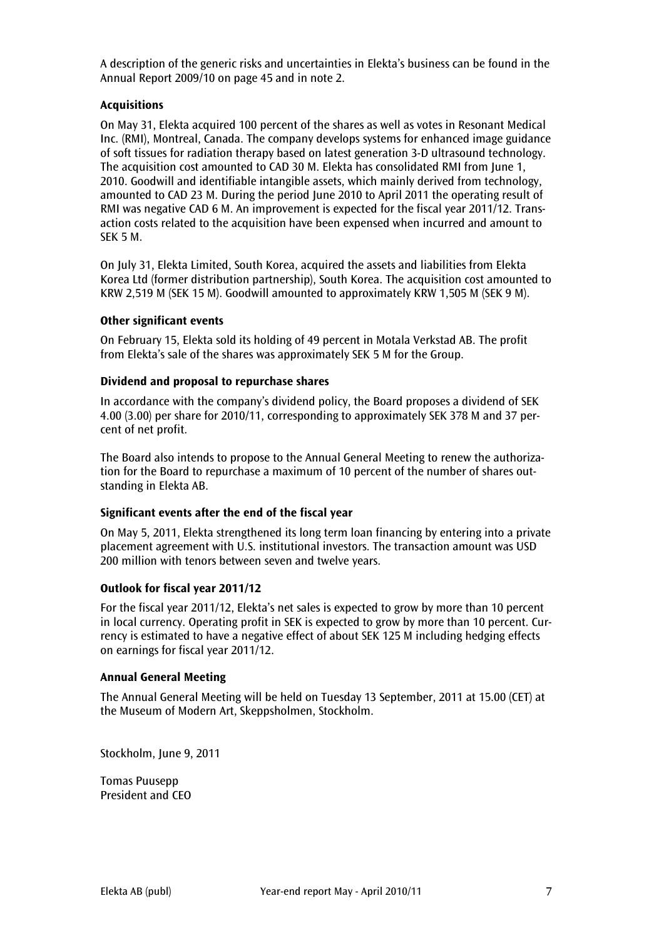A description of the generic risks and uncertainties in Elekta's business can be found in the Annual Report 2009/10 on page 45 and in note 2.

# Acquisitions

On May 31, Elekta acquired 100 percent of the shares as well as votes in Resonant Medical Inc. (RMI), Montreal, Canada. The company develops systems for enhanced image guidance of soft tissues for radiation therapy based on latest generation 3-D ultrasound technology. The acquisition cost amounted to CAD 30 M. Elekta has consolidated RMI from June 1, 2010. Goodwill and identifiable intangible assets, which mainly derived from technology, amounted to CAD 23 M. During the period June 2010 to April 2011 the operating result of RMI was negative CAD 6 M. An improvement is expected for the fiscal year 2011/12. Transaction costs related to the acquisition have been expensed when incurred and amount to SEK 5 M.

On July 31, Elekta Limited, South Korea, acquired the assets and liabilities from Elekta Korea Ltd (former distribution partnership), South Korea. The acquisition cost amounted to KRW 2,519 M (SEK 15 M). Goodwill amounted to approximately KRW 1,505 M (SEK 9 M).

# Other significant events

On February 15, Elekta sold its holding of 49 percent in Motala Verkstad AB. The profit from Elekta's sale of the shares was approximately SEK 5 M for the Group.

# Dividend and proposal to repurchase shares

In accordance with the company's dividend policy, the Board proposes a dividend of SEK 4.00 (3.00) per share for 2010/11, corresponding to approximately SEK 378 M and 37 percent of net profit.

The Board also intends to propose to the Annual General Meeting to renew the authorization for the Board to repurchase a maximum of 10 percent of the number of shares outstanding in Elekta AB.

# Significant events after the end of the fiscal year

On May 5, 2011, Elekta strengthened its long term loan financing by entering into a private placement agreement with U.S. institutional investors. The transaction amount was USD 200 million with tenors between seven and twelve years.

# Outlook for fiscal year 2011/12

For the fiscal year 2011/12, Elekta's net sales is expected to grow by more than 10 percent in local currency. Operating profit in SEK is expected to grow by more than 10 percent. Currency is estimated to have a negative effect of about SEK 125 M including hedging effects on earnings for fiscal year 2011/12.

# Annual General Meeting

The Annual General Meeting will be held on Tuesday 13 September, 2011 at 15.00 (CET) at the Museum of Modern Art, Skeppsholmen, Stockholm.

Stockholm, June 9, 2011

Tomas Puusepp President and CEO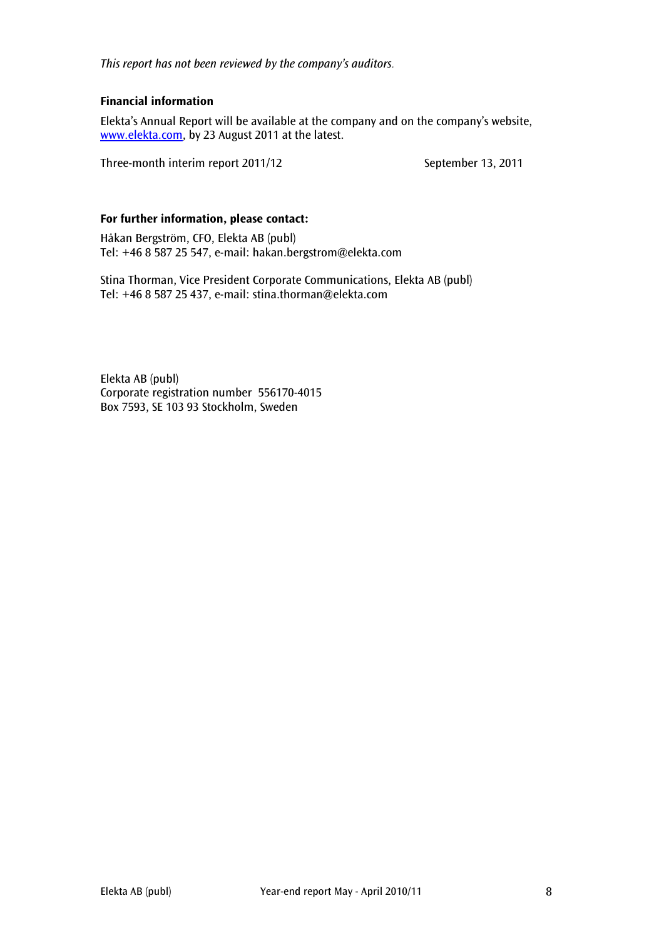This report has not been reviewed by the company's auditors.

# Financial information

Elekta's Annual Report will be available at the company and on the company's website, www.elekta.com, by 23 August 2011 at the latest.

Three-month interim report 2011/12 September 13, 2011

# For further information, please contact:

Håkan Bergström, CFO, Elekta AB (publ) Tel: +46 8 587 25 547, e-mail: hakan.bergstrom@elekta.com

Stina Thorman, Vice President Corporate Communications, Elekta AB (publ) Tel: +46 8 587 25 437, e-mail: stina.thorman@elekta.com

Elekta AB (publ) Corporate registration number 556170-4015 Box 7593, SE 103 93 Stockholm, Sweden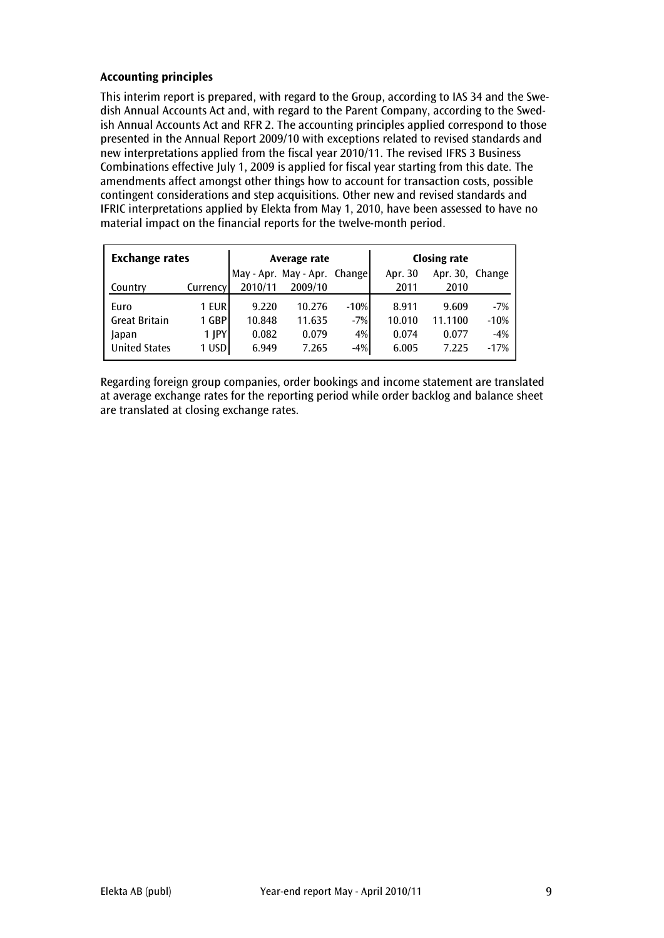# Accounting principles

This interim report is prepared, with regard to the Group, according to IAS 34 and the Swedish Annual Accounts Act and, with regard to the Parent Company, according to the Swedish Annual Accounts Act and RFR 2. The accounting principles applied correspond to those presented in the Annual Report 2009/10 with exceptions related to revised standards and new interpretations applied from the fiscal year 2010/11. The revised IFRS 3 Business Combinations effective July 1, 2009 is applied for fiscal year starting from this date. The amendments affect amongst other things how to account for transaction costs, possible contingent considerations and step acquisitions. Other new and revised standards and IFRIC interpretations applied by Elekta from May 1, 2010, have been assessed to have no material impact on the financial reports for the twelve-month period.

| <b>Exchange rates</b> |            |         | Average rate                 |        | <b>Closing rate</b> |                 |        |
|-----------------------|------------|---------|------------------------------|--------|---------------------|-----------------|--------|
|                       |            |         | May - Apr. May - Apr. Change |        | Apr. 30             | Apr. 30, Change |        |
| Country               | Currency   | 2010/11 | 2009/10                      |        | 2011                | 2010            |        |
| Euro                  | 1 EUR      | 9.220   | 10.276                       | $-10%$ | 8.911               | 9.609           | $-7%$  |
| <b>Great Britain</b>  | 1 GBP      | 10.848  | 11.635                       | $-7%$  | 10.010              | 11.1100         | $-10%$ |
| Japan                 | $1$ $ PY $ | 0.082   | 0.079                        | 4%     | 0.074               | 0.077           | $-4%$  |
| <b>United States</b>  | 1 USD      | 6.949   | 7.265                        | $-4%$  | 6.005               | 7.225           | $-17%$ |

Regarding foreign group companies, order bookings and income statement are translated at average exchange rates for the reporting period while order backlog and balance sheet are translated at closing exchange rates.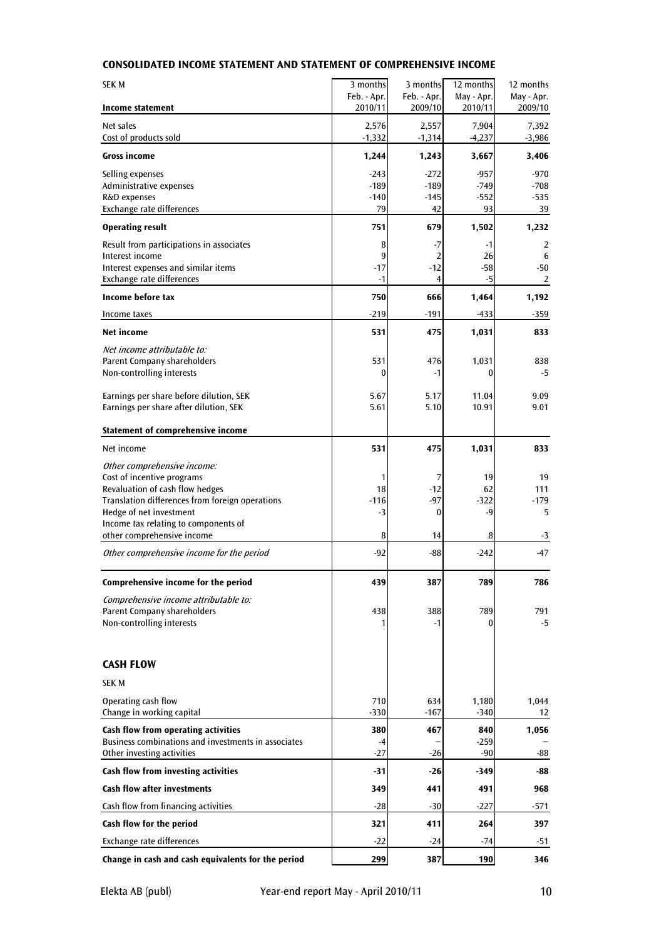# CONSOLIDATED INCOME STATEMENT AND STATEMENT OF COMPREHENSIVE INCOME

| <b>SEK M</b>                                                | 3 months               | 3 months               | 12 months             | 12 months             |
|-------------------------------------------------------------|------------------------|------------------------|-----------------------|-----------------------|
| Income statement                                            | Feb. - Apr.<br>2010/11 | Feb. - Apr.<br>2009/10 | May - Apr.<br>2010/11 | May - Apr.<br>2009/10 |
| Net sales<br>Cost of products sold                          | 2,576<br>$-1,332$      | 2,557<br>$-1,314$      | 7,904<br>$-4,237$     | 7,392<br>$-3,986$     |
| <b>Gross income</b>                                         | 1,244                  | 1,243                  | 3,667                 | 3,406                 |
| Selling expenses                                            | $-243$                 | $-272$                 | $-957$                | $-970$                |
| Administrative expenses                                     | $-189$                 | $-189$                 | $-749$                | $-708$                |
| R&D expenses                                                | $-140$                 | $-145$                 | $-552$                | $-535$                |
| Exchange rate differences                                   | 79                     | 42                     | 93                    | 39                    |
| <b>Operating result</b>                                     | 751                    | 679                    | 1,502                 | 1,232                 |
| Result from participations in associates<br>Interest income | 8                      | $-7$                   | $-1$                  | 2                     |
| Interest expenses and similar items                         | 9<br>-17               | 2<br>$-12$             | 26<br>$-58$           | 6<br>-50              |
| Exchange rate differences                                   | $-1$                   | 4                      | $-5$                  | 2                     |
| Income before tax                                           | 750                    | 666                    | 1,464                 | 1,192                 |
| Income taxes                                                | -219                   | $-191$                 | $-433$                | $-359$                |
| <b>Net income</b>                                           | 531                    | 475                    | 1,031                 | 833                   |
| Net income attributable to:                                 |                        |                        |                       |                       |
| Parent Company shareholders                                 | 531                    | 476                    | 1,031                 | 838                   |
| Non-controlling interests                                   | 0                      | $-1$                   | 0                     | -5                    |
|                                                             |                        |                        |                       |                       |
| Earnings per share before dilution, SEK                     | 5.67                   | 5.17                   | 11.04                 | 9.09                  |
| Earnings per share after dilution, SEK                      | 5.61                   | 5.10                   | 10.91                 | 9.01                  |
| Statement of comprehensive income                           |                        |                        |                       |                       |
| Net income                                                  | 531                    | 475                    | 1,031                 | 833                   |
| Other comprehensive income:                                 |                        |                        |                       |                       |
| Cost of incentive programs                                  | 1                      | 7                      | 19                    | 19                    |
| Revaluation of cash flow hedges                             | 18                     | $-12$                  | 62                    | 111                   |
| Translation differences from foreign operations             | -116                   | $-97$                  | $-322$                | $-179$                |
| Hedge of net investment                                     | -3                     | 0                      | -9                    | 5                     |
| Income tax relating to components of                        |                        |                        |                       |                       |
| other comprehensive income                                  | 8                      | 14                     | 8                     | -3                    |
| Other comprehensive income for the period                   | -92                    | $-88$                  | $-242$                | $-47$                 |
| Comprehensive income for the period                         | 439                    | 387                    | 789                   | 786                   |
| Comprehensive income attributable to:                       |                        |                        |                       |                       |
| Parent Company shareholders                                 | 438                    | 388                    | 789                   | 791                   |
| Non-controlling interests                                   |                        | -1                     | 0                     | -5                    |
|                                                             |                        |                        |                       |                       |
| <b>CASH FLOW</b>                                            |                        |                        |                       |                       |
| <b>SEK M</b>                                                |                        |                        |                       |                       |
| Operating cash flow                                         | 710                    | 634                    | 1,180                 | 1,044                 |
| Change in working capital                                   | $-330$                 | $-167$                 | $-340$                | 12                    |
| Cash flow from operating activities                         | 380                    | 467                    | 840                   | 1,056                 |
| Business combinations and investments in associates         | -4                     |                        | $-259$                |                       |
| Other investing activities                                  | -27                    | $-26$                  | $-90$                 | -88                   |
| Cash flow from investing activities                         | -31                    | -26                    | -349                  | -88                   |
| <b>Cash flow after investments</b>                          | 349                    | 441                    | 491                   | 968                   |
| Cash flow from financing activities                         | -28                    | $-30$                  | $-227$                | $-571$                |
| Cash flow for the period                                    | 321                    | 411                    | 264                   | 397                   |
| Exchange rate differences                                   | -22                    | $-24$                  | $-74$                 | -51                   |
| Change in cash and cash equivalents for the period          | 299                    | 387                    | 190                   | 346                   |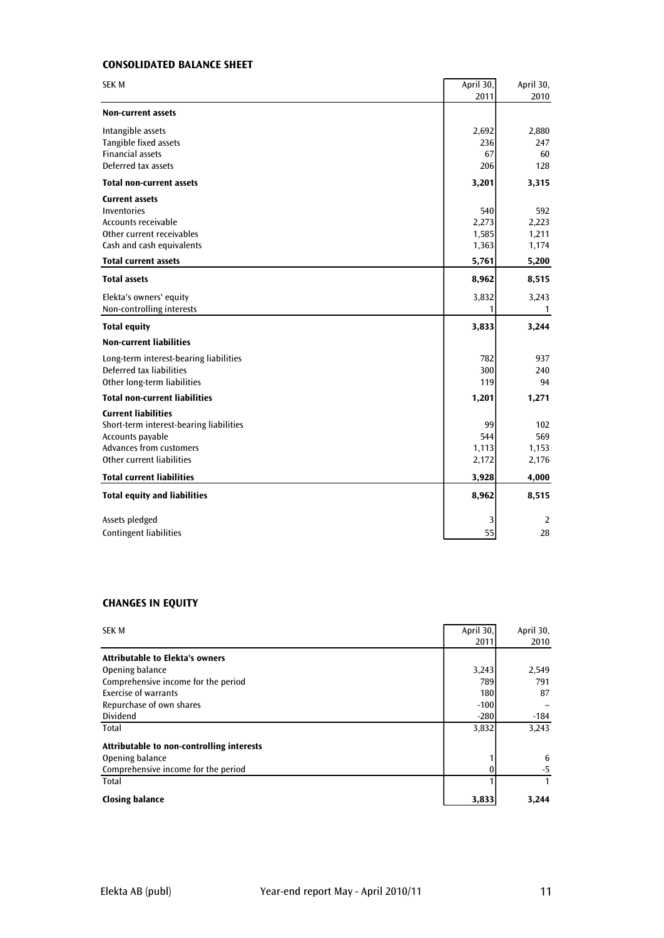# CONSOLIDATED BALANCE SHEET

| 2011<br>2010<br><b>Non-current assets</b><br>Intangible assets<br>2,692<br>2,880<br>Tangible fixed assets<br>236<br>247<br><b>Financial assets</b><br>67<br>60<br>Deferred tax assets<br>206<br>128<br><b>Total non-current assets</b><br>3,201<br>3,315<br><b>Current assets</b><br>Inventories<br>540<br>592<br><b>Accounts receivable</b><br>2,273<br>2,223<br>Other current receivables<br>1,585<br>1,211<br>Cash and cash equivalents<br>1,363<br>1,174<br><b>Total current assets</b><br>5,761<br>5,200<br><b>Total assets</b><br>8,962<br>8,515<br>3,832<br>Elekta's owners' equity<br>3,243<br>Non-controlling interests<br>1<br>$\mathbf{1}$<br>3,244<br><b>Total equity</b><br>3,833<br><b>Non-current liabilities</b><br>782<br>Long-term interest-bearing liabilities<br>937<br>Deferred tax liabilities<br>300<br>240<br>Other long-term liabilities<br>119<br>94<br><b>Total non-current liabilities</b><br>1,201<br>1,271<br><b>Current liabilities</b><br>Short-term interest-bearing liabilities<br>99<br>102<br>544<br>569<br>Accounts payable<br><b>Advances from customers</b><br>1,113<br>1,153<br>Other current liabilities<br>2,176<br>2,172<br><b>Total current liabilities</b><br>3,928<br>4,000<br><b>Total equity and liabilities</b><br>8,962<br>8,515<br>Assets pledged<br>3<br>2<br><b>Contingent liabilities</b><br>55<br>28 | <b>SEK M</b> | April 30, | April 30, |
|-------------------------------------------------------------------------------------------------------------------------------------------------------------------------------------------------------------------------------------------------------------------------------------------------------------------------------------------------------------------------------------------------------------------------------------------------------------------------------------------------------------------------------------------------------------------------------------------------------------------------------------------------------------------------------------------------------------------------------------------------------------------------------------------------------------------------------------------------------------------------------------------------------------------------------------------------------------------------------------------------------------------------------------------------------------------------------------------------------------------------------------------------------------------------------------------------------------------------------------------------------------------------------------------------------------------------------------------------------------|--------------|-----------|-----------|
|                                                                                                                                                                                                                                                                                                                                                                                                                                                                                                                                                                                                                                                                                                                                                                                                                                                                                                                                                                                                                                                                                                                                                                                                                                                                                                                                                             |              |           |           |
|                                                                                                                                                                                                                                                                                                                                                                                                                                                                                                                                                                                                                                                                                                                                                                                                                                                                                                                                                                                                                                                                                                                                                                                                                                                                                                                                                             |              |           |           |
|                                                                                                                                                                                                                                                                                                                                                                                                                                                                                                                                                                                                                                                                                                                                                                                                                                                                                                                                                                                                                                                                                                                                                                                                                                                                                                                                                             |              |           |           |
|                                                                                                                                                                                                                                                                                                                                                                                                                                                                                                                                                                                                                                                                                                                                                                                                                                                                                                                                                                                                                                                                                                                                                                                                                                                                                                                                                             |              |           |           |
|                                                                                                                                                                                                                                                                                                                                                                                                                                                                                                                                                                                                                                                                                                                                                                                                                                                                                                                                                                                                                                                                                                                                                                                                                                                                                                                                                             |              |           |           |
|                                                                                                                                                                                                                                                                                                                                                                                                                                                                                                                                                                                                                                                                                                                                                                                                                                                                                                                                                                                                                                                                                                                                                                                                                                                                                                                                                             |              |           |           |
|                                                                                                                                                                                                                                                                                                                                                                                                                                                                                                                                                                                                                                                                                                                                                                                                                                                                                                                                                                                                                                                                                                                                                                                                                                                                                                                                                             |              |           |           |
|                                                                                                                                                                                                                                                                                                                                                                                                                                                                                                                                                                                                                                                                                                                                                                                                                                                                                                                                                                                                                                                                                                                                                                                                                                                                                                                                                             |              |           |           |
|                                                                                                                                                                                                                                                                                                                                                                                                                                                                                                                                                                                                                                                                                                                                                                                                                                                                                                                                                                                                                                                                                                                                                                                                                                                                                                                                                             |              |           |           |
|                                                                                                                                                                                                                                                                                                                                                                                                                                                                                                                                                                                                                                                                                                                                                                                                                                                                                                                                                                                                                                                                                                                                                                                                                                                                                                                                                             |              |           |           |
|                                                                                                                                                                                                                                                                                                                                                                                                                                                                                                                                                                                                                                                                                                                                                                                                                                                                                                                                                                                                                                                                                                                                                                                                                                                                                                                                                             |              |           |           |
|                                                                                                                                                                                                                                                                                                                                                                                                                                                                                                                                                                                                                                                                                                                                                                                                                                                                                                                                                                                                                                                                                                                                                                                                                                                                                                                                                             |              |           |           |
|                                                                                                                                                                                                                                                                                                                                                                                                                                                                                                                                                                                                                                                                                                                                                                                                                                                                                                                                                                                                                                                                                                                                                                                                                                                                                                                                                             |              |           |           |
|                                                                                                                                                                                                                                                                                                                                                                                                                                                                                                                                                                                                                                                                                                                                                                                                                                                                                                                                                                                                                                                                                                                                                                                                                                                                                                                                                             |              |           |           |
|                                                                                                                                                                                                                                                                                                                                                                                                                                                                                                                                                                                                                                                                                                                                                                                                                                                                                                                                                                                                                                                                                                                                                                                                                                                                                                                                                             |              |           |           |
|                                                                                                                                                                                                                                                                                                                                                                                                                                                                                                                                                                                                                                                                                                                                                                                                                                                                                                                                                                                                                                                                                                                                                                                                                                                                                                                                                             |              |           |           |
|                                                                                                                                                                                                                                                                                                                                                                                                                                                                                                                                                                                                                                                                                                                                                                                                                                                                                                                                                                                                                                                                                                                                                                                                                                                                                                                                                             |              |           |           |
|                                                                                                                                                                                                                                                                                                                                                                                                                                                                                                                                                                                                                                                                                                                                                                                                                                                                                                                                                                                                                                                                                                                                                                                                                                                                                                                                                             |              |           |           |
|                                                                                                                                                                                                                                                                                                                                                                                                                                                                                                                                                                                                                                                                                                                                                                                                                                                                                                                                                                                                                                                                                                                                                                                                                                                                                                                                                             |              |           |           |
|                                                                                                                                                                                                                                                                                                                                                                                                                                                                                                                                                                                                                                                                                                                                                                                                                                                                                                                                                                                                                                                                                                                                                                                                                                                                                                                                                             |              |           |           |
|                                                                                                                                                                                                                                                                                                                                                                                                                                                                                                                                                                                                                                                                                                                                                                                                                                                                                                                                                                                                                                                                                                                                                                                                                                                                                                                                                             |              |           |           |
|                                                                                                                                                                                                                                                                                                                                                                                                                                                                                                                                                                                                                                                                                                                                                                                                                                                                                                                                                                                                                                                                                                                                                                                                                                                                                                                                                             |              |           |           |
|                                                                                                                                                                                                                                                                                                                                                                                                                                                                                                                                                                                                                                                                                                                                                                                                                                                                                                                                                                                                                                                                                                                                                                                                                                                                                                                                                             |              |           |           |
|                                                                                                                                                                                                                                                                                                                                                                                                                                                                                                                                                                                                                                                                                                                                                                                                                                                                                                                                                                                                                                                                                                                                                                                                                                                                                                                                                             |              |           |           |
|                                                                                                                                                                                                                                                                                                                                                                                                                                                                                                                                                                                                                                                                                                                                                                                                                                                                                                                                                                                                                                                                                                                                                                                                                                                                                                                                                             |              |           |           |
|                                                                                                                                                                                                                                                                                                                                                                                                                                                                                                                                                                                                                                                                                                                                                                                                                                                                                                                                                                                                                                                                                                                                                                                                                                                                                                                                                             |              |           |           |
|                                                                                                                                                                                                                                                                                                                                                                                                                                                                                                                                                                                                                                                                                                                                                                                                                                                                                                                                                                                                                                                                                                                                                                                                                                                                                                                                                             |              |           |           |
|                                                                                                                                                                                                                                                                                                                                                                                                                                                                                                                                                                                                                                                                                                                                                                                                                                                                                                                                                                                                                                                                                                                                                                                                                                                                                                                                                             |              |           |           |
|                                                                                                                                                                                                                                                                                                                                                                                                                                                                                                                                                                                                                                                                                                                                                                                                                                                                                                                                                                                                                                                                                                                                                                                                                                                                                                                                                             |              |           |           |
|                                                                                                                                                                                                                                                                                                                                                                                                                                                                                                                                                                                                                                                                                                                                                                                                                                                                                                                                                                                                                                                                                                                                                                                                                                                                                                                                                             |              |           |           |
|                                                                                                                                                                                                                                                                                                                                                                                                                                                                                                                                                                                                                                                                                                                                                                                                                                                                                                                                                                                                                                                                                                                                                                                                                                                                                                                                                             |              |           |           |

#### CHANGES IN EQUITY

| <b>SEK M</b>                              | April 30, | April 30, |
|-------------------------------------------|-----------|-----------|
|                                           | 2011      | 2010      |
| <b>Attributable to Elekta's owners</b>    |           |           |
| Opening balance                           | 3,243     | 2,549     |
| Comprehensive income for the period       | 789       | 791       |
| Exercise of warrants                      | 180       | 87        |
| Repurchase of own shares                  | $-100$    |           |
| Dividend                                  | $-280$    | $-184$    |
| Total                                     | 3,832     | 3,243     |
| Attributable to non-controlling interests |           |           |
| Opening balance                           |           | 6         |
| Comprehensive income for the period       |           | $-5$      |
| Total                                     |           | 1         |
| <b>Closing balance</b>                    | 3,833     | 3,244     |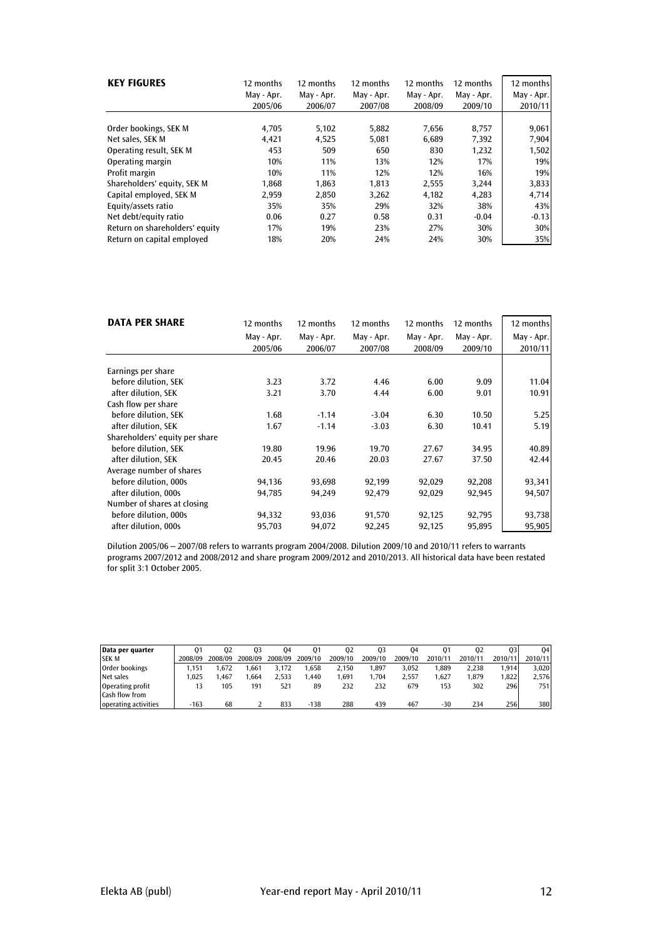| <b>KEY FIGURES</b>             | 12 months  | 12 months  | 12 months  | 12 months  | 12 months  | 12 months  |
|--------------------------------|------------|------------|------------|------------|------------|------------|
|                                | May - Apr. | May - Apr. | May - Apr. | May - Apr. | May - Apr. | May - Apr. |
|                                | 2005/06    | 2006/07    | 2007/08    | 2008/09    | 2009/10    | 2010/11    |
| Order bookings, SEK M          | 4,705      | 5,102      | 5,882      | 7,656      | 8,757      | 9,061      |
| Net sales. SEK M               | 4,421      | 4,525      | 5.081      | 6.689      | 7,392      | 7,904      |
| Operating result, SEK M        | 453        | 509        | 650        | 830        | 1,232      | 1,502      |
| Operating margin               | 10%        | 11%        | 13%        | 12%        | 17%        | 19%        |
| Profit margin                  | 10%        | 11%        | 12%        | 12%        | 16%        | 19%        |
| Shareholders' equity, SEK M    | 1,868      | 1,863      | 1,813      | 2,555      | 3,244      | 3,833      |
| Capital employed, SEK M        | 2.959      | 2.850      | 3,262      | 4.182      | 4,283      | 4,714      |
| Equity/assets ratio            | 35%        | 35%        | 29%        | 32%        | 38%        | 43%        |
| Net debt/equity ratio          | 0.06       | 0.27       | 0.58       | 0.31       | $-0.04$    | $-0.13$    |
| Return on shareholders' equity | 17%        | 19%        | 23%        | 27%        | 30%        | 30%        |
| Return on capital employed     | 18%        | 20%        | 24%        | 24%        | 30%        | 35%        |

| <b>DATA PER SHARE</b>          | 12 months<br>May - Apr.<br>2005/06 | 12 months<br>May - Apr.<br>2006/07 | 12 months<br>May - Apr.<br>2007/08 | 12 months<br>May - Apr.<br>2008/09 | 12 months<br>May - Apr.<br>2009/10 | 12 months<br>May - Apr.<br>2010/11 |
|--------------------------------|------------------------------------|------------------------------------|------------------------------------|------------------------------------|------------------------------------|------------------------------------|
| Earnings per share             |                                    |                                    |                                    |                                    |                                    |                                    |
| before dilution, SEK           | 3.23                               | 3.72                               | 4.46                               | 6.00                               | 9.09                               | 11.04                              |
| after dilution, SEK            | 3.21                               | 3.70                               | 4.44                               | 6.00                               | 9.01                               | 10.91                              |
| Cash flow per share            |                                    |                                    |                                    |                                    |                                    |                                    |
| before dilution, SEK           | 1.68                               | $-1.14$                            | $-3.04$                            | 6.30                               | 10.50                              | 5.25                               |
| after dilution, SEK            | 1.67                               | $-1.14$                            | $-3.03$                            | 6.30                               | 10.41                              | 5.19                               |
| Shareholders' equity per share |                                    |                                    |                                    |                                    |                                    |                                    |
| before dilution, SEK           | 19.80                              | 19.96                              | 19.70                              | 27.67                              | 34.95                              | 40.89                              |
| after dilution. SEK            | 20.45                              | 20.46                              | 20.03                              | 27.67                              | 37.50                              | 42.44                              |
| Average number of shares       |                                    |                                    |                                    |                                    |                                    |                                    |
| before dilution, 000s          | 94,136                             | 93,698                             | 92,199                             | 92,029                             | 92,208                             | 93,341                             |
| after dilution, 000s           | 94,785                             | 94,249                             | 92,479                             | 92,029                             | 92,945                             | 94,507                             |
| Number of shares at closing    |                                    |                                    |                                    |                                    |                                    |                                    |
| before dilution, 000s          | 94,332                             | 93,036                             | 91,570                             | 92,125                             | 92,795                             | 93,738                             |
| after dilution, 000s           | 95,703                             | 94,072                             | 92,245                             | 92,125                             | 95,895                             | 95,905                             |

Dilution 2005/06 – 2007/08 refers to warrants program 2004/2008. Dilution 2009/10 and 2010/11 refers to warrants programs 2007/2012 and 2008/2012 and share program 2009/2012 and 2010/2013. All historical data have been restated for split 3:1 October 2005.

| Data per quarter     | 01      | 02      | 03      | 04      | 01      | 02      | 03      | 04      | 01      | 02      | 03      | 04      |
|----------------------|---------|---------|---------|---------|---------|---------|---------|---------|---------|---------|---------|---------|
| <b>SEK M</b>         | 2008/09 | 2008/09 | 2008/09 | 2008/09 | 2009/10 | 2009/10 | 2009/10 | 2009/10 | 2010/11 | 2010/11 | 2010/11 | 2010/11 |
| Order bookings       | .151    | 1.672   | .661    | 3.172   | .658    | 2.150   | 1.897   | 3.052   | 1.889   | 2.238   | '.914   | 3.020   |
| Net sales            | .025    | .467    | .664    | 2.533   | .440    | 1.691   | 1.704   | 2.557   | 1.627   | 1.879   | 1.822   | 2.576   |
| Operating profit     | 13      | 105     | 191     | 521     | 89      | 232     | 232     | 679     | 153     | 302     | 296     | 751     |
| Cash flow from       |         |         |         |         |         |         |         |         |         |         |         |         |
| operating activities | $-163$  | 68      |         | 833     | $-138$  | 288     | 439     | 467     | $-30$   | 234     | 256     | 380     |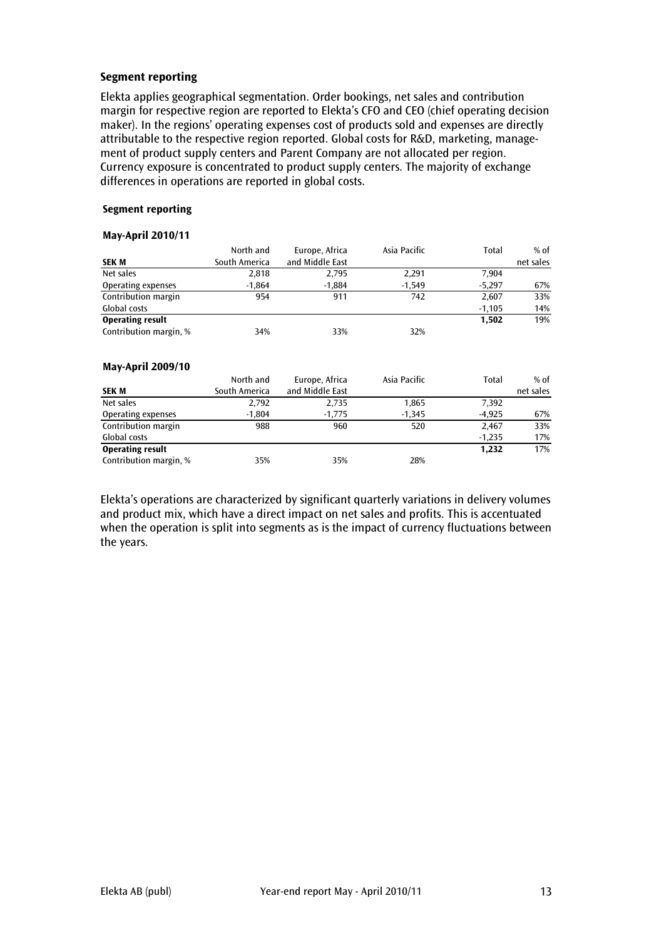# Segment reporting

Elekta applies geographical segmentation. Order bookings, net sales and contribution margin for respective region are reported to Elekta's CFO and CEO (chief operating decision maker). In the regions' operating expenses cost of products sold and expenses are directly attributable to the respective region reported. Global costs for R&D, marketing, management of product supply centers and Parent Company are not allocated per region. Currency exposure is concentrated to product supply centers. The majority of exchange differences in operations are reported in global costs.

#### Segment reporting

#### May-April 2010/11

|                          | North and     | Europe, Africa  | Asia Pacific | Total    | % of      |
|--------------------------|---------------|-----------------|--------------|----------|-----------|
| <b>SEK M</b>             | South America | and Middle East |              |          | net sales |
| Net sales                | 2,818         | 2,795           | 2,291        | 7.904    |           |
| Operating expenses       | $-1,864$      | $-1,884$        | $-1,549$     | $-5,297$ | 67%       |
| Contribution margin      | 954           | 911             | 742          | 2,607    | 33%       |
| Global costs             |               |                 |              | $-1,105$ | 14%       |
| <b>Operating result</b>  |               |                 |              | 1,502    | 19%       |
| Contribution margin, %   | 34%           | 33%             | 32%          |          |           |
| <b>May-April 2009/10</b> |               |                 |              |          |           |

|                         | North and     | Europe, Africa  | Asia Pacific | Total    | $%$ of    |
|-------------------------|---------------|-----------------|--------------|----------|-----------|
| <b>SEK M</b>            | South America | and Middle East |              |          | net sales |
| Net sales               | 2,792         | 2,735           | 1,865        | 7,392    |           |
| Operating expenses      | $-1.804$      | $-1,775$        | $-1.345$     | $-4.925$ | 67%       |
| Contribution margin     | 988           | 960             | 520          | 2.467    | 33%       |
| Global costs            |               |                 |              | $-1,235$ | 17%       |
| <b>Operating result</b> |               |                 |              | 1.232    | 17%       |
| Contribution margin, %  | 35%           | 35%             | 28%          |          |           |

Elekta's operations are characterized by significant quarterly variations in delivery volumes and product mix, which have a direct impact on net sales and profits. This is accentuated when the operation is split into segments as is the impact of currency fluctuations between the years.